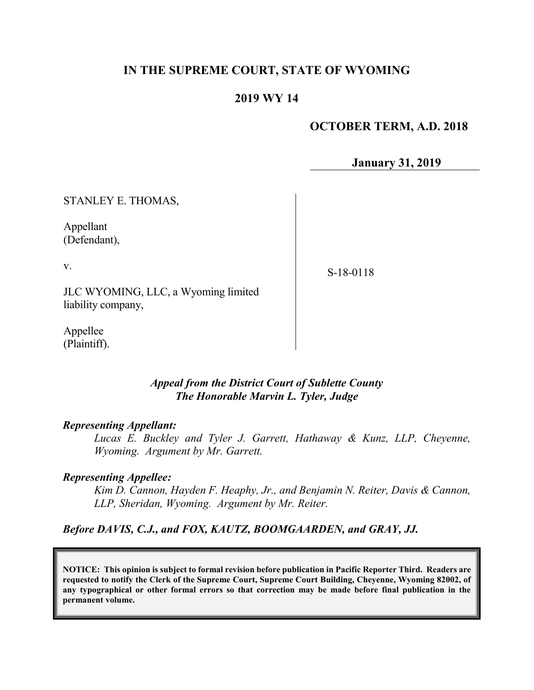### **IN THE SUPREME COURT, STATE OF WYOMING**

### **2019 WY 14**

### **OCTOBER TERM, A.D. 2018**

**January 31, 2019**

STANLEY E. THOMAS,

Appellant (Defendant),

v.

S-18-0118

JLC WYOMING, LLC, a Wyoming limited liability company,

Appellee (Plaintiff).

### *Appeal from the District Court of Sublette County The Honorable Marvin L. Tyler, Judge*

#### *Representing Appellant:*

*Lucas E. Buckley and Tyler J. Garrett, Hathaway & Kunz, LLP, Cheyenne, Wyoming. Argument by Mr. Garrett.*

#### *Representing Appellee:*

*Kim D. Cannon, Hayden F. Heaphy, Jr., and Benjamin N. Reiter, Davis & Cannon, LLP, Sheridan, Wyoming. Argument by Mr. Reiter.*

*Before DAVIS, C.J., and FOX, KAUTZ, BOOMGAARDEN, and GRAY, JJ.*

**NOTICE: This opinion is subject to formal revision before publication in Pacific Reporter Third. Readers are requested to notify the Clerk of the Supreme Court, Supreme Court Building, Cheyenne, Wyoming 82002, of any typographical or other formal errors so that correction may be made before final publication in the permanent volume.**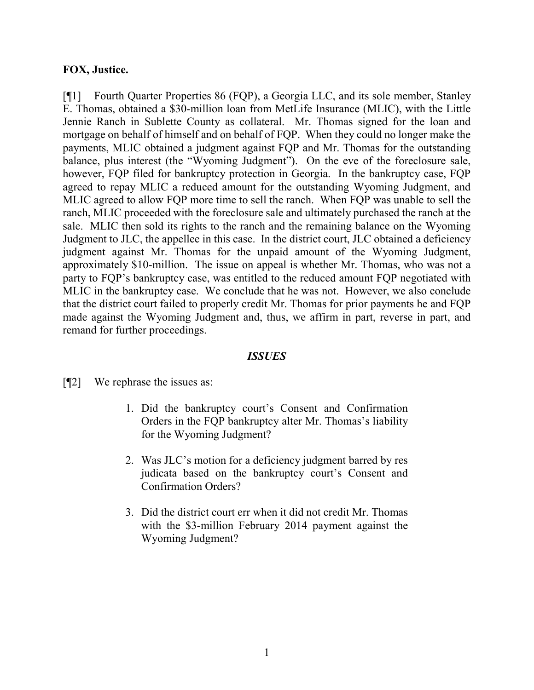### **FOX, Justice.**

[¶1] Fourth Quarter Properties 86 (FQP), a Georgia LLC, and its sole member, Stanley E. Thomas, obtained a \$30-million loan from MetLife Insurance (MLIC), with the Little Jennie Ranch in Sublette County as collateral. Mr. Thomas signed for the loan and mortgage on behalf of himself and on behalf of FQP. When they could no longer make the payments, MLIC obtained a judgment against FQP and Mr. Thomas for the outstanding balance, plus interest (the "Wyoming Judgment"). On the eve of the foreclosure sale, however, FQP filed for bankruptcy protection in Georgia. In the bankruptcy case, FQP agreed to repay MLIC a reduced amount for the outstanding Wyoming Judgment, and MLIC agreed to allow FQP more time to sell the ranch. When FQP was unable to sell the ranch, MLIC proceeded with the foreclosure sale and ultimately purchased the ranch at the sale. MLIC then sold its rights to the ranch and the remaining balance on the Wyoming Judgment to JLC, the appellee in this case. In the district court, JLC obtained a deficiency judgment against Mr. Thomas for the unpaid amount of the Wyoming Judgment, approximately \$10-million. The issue on appeal is whether Mr. Thomas, who was not a party to FQP's bankruptcy case, was entitled to the reduced amount FQP negotiated with MLIC in the bankruptcy case. We conclude that he was not. However, we also conclude that the district court failed to properly credit Mr. Thomas for prior payments he and FQP made against the Wyoming Judgment and, thus, we affirm in part, reverse in part, and remand for further proceedings.

### *ISSUES*

[¶2] We rephrase the issues as:

- 1. Did the bankruptcy court's Consent and Confirmation Orders in the FQP bankruptcy alter Mr. Thomas's liability for the Wyoming Judgment?
- 2. Was JLC's motion for a deficiency judgment barred by res judicata based on the bankruptcy court's Consent and Confirmation Orders?
- 3. Did the district court err when it did not credit Mr. Thomas with the \$3-million February 2014 payment against the Wyoming Judgment?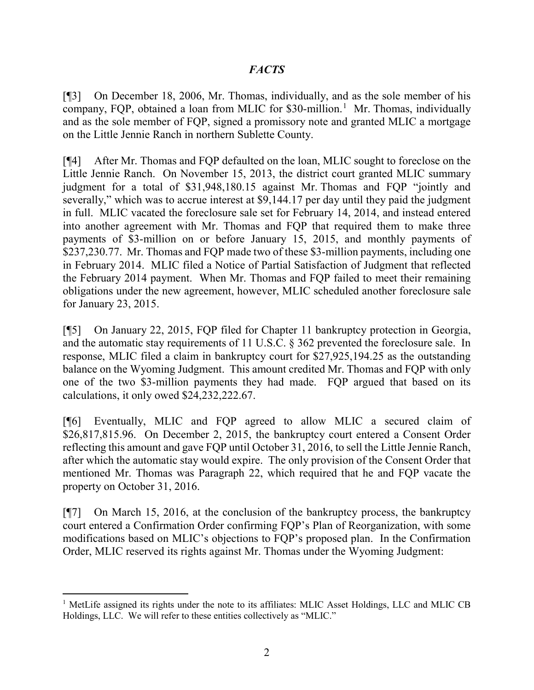### *FACTS*

[¶3] On December 18, 2006, Mr. Thomas, individually, and as the sole member of his company, FQP, obtained a loan from MLIC for \$30-million. [1](#page-2-0) Mr. Thomas, individually and as the sole member of FQP, signed a promissory note and granted MLIC a mortgage on the Little Jennie Ranch in northern Sublette County.

[¶4] After Mr. Thomas and FQP defaulted on the loan, MLIC sought to foreclose on the Little Jennie Ranch. On November 15, 2013, the district court granted MLIC summary judgment for a total of \$31,948,180.15 against Mr. Thomas and FQP "jointly and severally," which was to accrue interest at \$9,144.17 per day until they paid the judgment in full. MLIC vacated the foreclosure sale set for February 14, 2014, and instead entered into another agreement with Mr. Thomas and FQP that required them to make three payments of \$3-million on or before January 15, 2015, and monthly payments of \$237,230.77. Mr. Thomas and FQP made two of these \$3-million payments, including one in February 2014. MLIC filed a Notice of Partial Satisfaction of Judgment that reflected the February 2014 payment. When Mr. Thomas and FQP failed to meet their remaining obligations under the new agreement, however, MLIC scheduled another foreclosure sale for January 23, 2015.

[¶5] On January 22, 2015, FQP filed for Chapter 11 bankruptcy protection in Georgia, and the automatic stay requirements of 11 U.S.C. § 362 prevented the foreclosure sale. In response, MLIC filed a claim in bankruptcy court for \$27,925,194.25 as the outstanding balance on the Wyoming Judgment. This amount credited Mr. Thomas and FQP with only one of the two \$3-million payments they had made. FQP argued that based on its calculations, it only owed \$24,232,222.67.

[¶6] Eventually, MLIC and FQP agreed to allow MLIC a secured claim of \$26,817,815.96. On December 2, 2015, the bankruptcy court entered a Consent Order reflecting this amount and gave FQP until October 31, 2016, to sell the Little Jennie Ranch, after which the automatic stay would expire. The only provision of the Consent Order that mentioned Mr. Thomas was Paragraph 22, which required that he and FQP vacate the property on October 31, 2016.

[¶7] On March 15, 2016, at the conclusion of the bankruptcy process, the bankruptcy court entered a Confirmation Order confirming FQP's Plan of Reorganization, with some modifications based on MLIC's objections to FQP's proposed plan. In the Confirmation Order, MLIC reserved its rights against Mr. Thomas under the Wyoming Judgment:

<span id="page-2-0"></span><sup>1</sup> MetLife assigned its rights under the note to its affiliates: MLIC Asset Holdings, LLC and MLIC CB Holdings, LLC. We will refer to these entities collectively as "MLIC."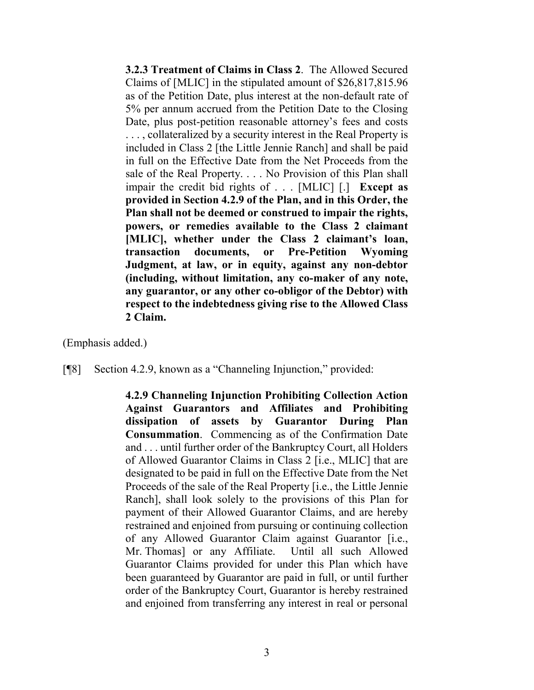**3.2.3 Treatment of Claims in Class 2**. The Allowed Secured Claims of [MLIC] in the stipulated amount of \$26,817,815.96 as of the Petition Date, plus interest at the non-default rate of 5% per annum accrued from the Petition Date to the Closing Date, plus post-petition reasonable attorney's fees and costs ..., collateralized by a security interest in the Real Property is included in Class 2 [the Little Jennie Ranch] and shall be paid in full on the Effective Date from the Net Proceeds from the sale of the Real Property. . . . No Provision of this Plan shall impair the credit bid rights of . . . [MLIC] [.] **Except as provided in Section 4.2.9 of the Plan, and in this Order, the Plan shall not be deemed or construed to impair the rights, powers, or remedies available to the Class 2 claimant [MLIC], whether under the Class 2 claimant's loan, transaction documents, or Pre-Petition Wyoming Judgment, at law, or in equity, against any non-debtor (including, without limitation, any co-maker of any note, any guarantor, or any other co-obligor of the Debtor) with respect to the indebtedness giving rise to the Allowed Class 2 Claim.**

(Emphasis added.)

[¶8] Section 4.2.9, known as a "Channeling Injunction," provided:

**4.2.9 Channeling Injunction Prohibiting Collection Action Against Guarantors and Affiliates and Prohibiting dissipation of assets by Guarantor During Plan Consummation**. Commencing as of the Confirmation Date and . . . until further order of the Bankruptcy Court, all Holders of Allowed Guarantor Claims in Class 2 [i.e., MLIC] that are designated to be paid in full on the Effective Date from the Net Proceeds of the sale of the Real Property [i.e., the Little Jennie Ranch], shall look solely to the provisions of this Plan for payment of their Allowed Guarantor Claims, and are hereby restrained and enjoined from pursuing or continuing collection of any Allowed Guarantor Claim against Guarantor [i.e., Mr. Thomas] or any Affiliate. Until all such Allowed Guarantor Claims provided for under this Plan which have been guaranteed by Guarantor are paid in full, or until further order of the Bankruptcy Court, Guarantor is hereby restrained and enjoined from transferring any interest in real or personal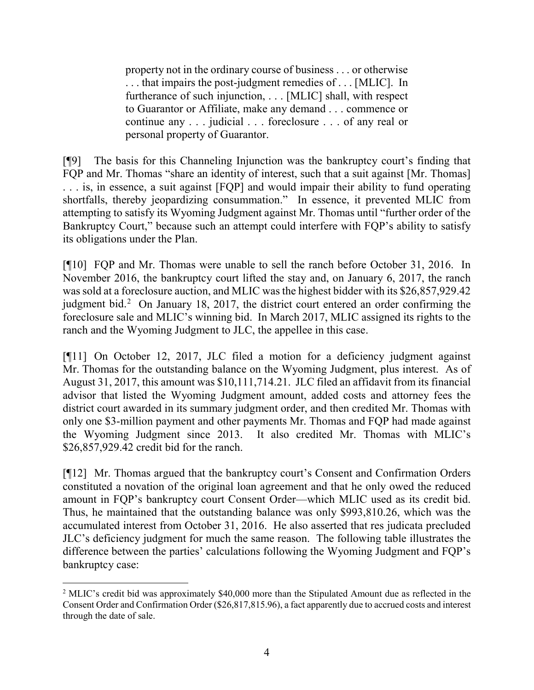property not in the ordinary course of business . . . or otherwise . . . that impairs the post-judgment remedies of . . . [MLIC]. In furtherance of such injunction, . . . [MLIC] shall, with respect to Guarantor or Affiliate, make any demand . . . commence or continue any . . . judicial . . . foreclosure . . . of any real or personal property of Guarantor.

[¶9] The basis for this Channeling Injunction was the bankruptcy court's finding that FQP and Mr. Thomas "share an identity of interest, such that a suit against [Mr. Thomas] . . . is, in essence, a suit against [FQP] and would impair their ability to fund operating shortfalls, thereby jeopardizing consummation." In essence, it prevented MLIC from attempting to satisfy its Wyoming Judgment against Mr. Thomas until "further order of the Bankruptcy Court," because such an attempt could interfere with FQP's ability to satisfy its obligations under the Plan.

[¶10] FQP and Mr. Thomas were unable to sell the ranch before October 31, 2016. In November 2016, the bankruptcy court lifted the stay and, on January 6, 2017, the ranch was sold at a foreclosure auction, and MLIC was the highest bidder with its \$26,857,929.42 judgment bid.<sup>[2](#page-4-0)</sup> On January 18, 2017, the district court entered an order confirming the foreclosure sale and MLIC's winning bid. In March 2017, MLIC assigned its rights to the ranch and the Wyoming Judgment to JLC, the appellee in this case.

[¶11] On October 12, 2017, JLC filed a motion for a deficiency judgment against Mr. Thomas for the outstanding balance on the Wyoming Judgment, plus interest. As of August 31, 2017, this amount was \$10,111,714.21. JLC filed an affidavit from its financial advisor that listed the Wyoming Judgment amount, added costs and attorney fees the district court awarded in its summary judgment order, and then credited Mr. Thomas with only one \$3-million payment and other payments Mr. Thomas and FQP had made against the Wyoming Judgment since 2013. It also credited Mr. Thomas with MLIC's \$26,857,929.42 credit bid for the ranch.

[¶12] Mr. Thomas argued that the bankruptcy court's Consent and Confirmation Orders constituted a novation of the original loan agreement and that he only owed the reduced amount in FQP's bankruptcy court Consent Order—which MLIC used as its credit bid. Thus, he maintained that the outstanding balance was only \$993,810.26, which was the accumulated interest from October 31, 2016. He also asserted that res judicata precluded JLC's deficiency judgment for much the same reason. The following table illustrates the difference between the parties' calculations following the Wyoming Judgment and FQP's bankruptcy case:

<span id="page-4-0"></span><sup>2</sup> MLIC's credit bid was approximately \$40,000 more than the Stipulated Amount due as reflected in the Consent Order and Confirmation Order (\$26,817,815.96), a fact apparently due to accrued costs and interest through the date of sale.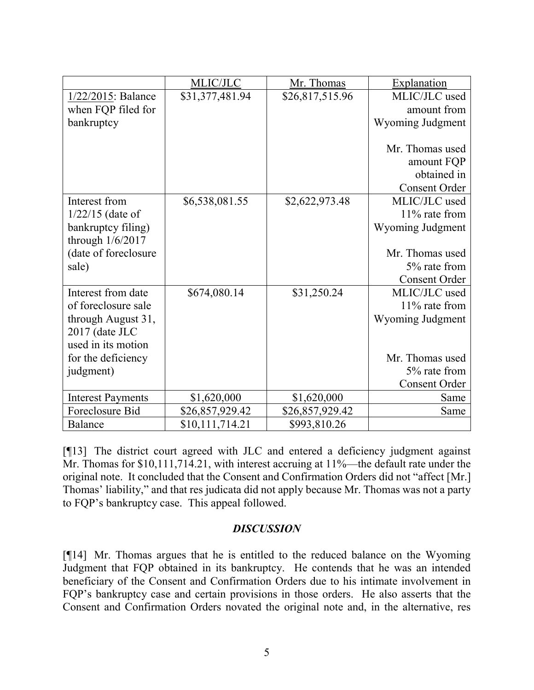| \$31,377,481.94<br>\$26,817,515.96<br>MLIC/JLC used<br>1/22/2015: Balance<br>amount from<br>when FQP filed for<br>Wyoming Judgment<br>bankruptcy<br>Mr. Thomas used<br>amount FQP<br>obtained in<br><b>Consent Order</b><br>MLIC/JLC used<br>Interest from<br>\$6,538,081.55<br>\$2,622,973.48<br>11% rate from<br>$1/22/15$ (date of<br>bankruptcy filing)<br>Wyoming Judgment<br>through $1/6/2017$<br>(date of foreclosure<br>Mr. Thomas used<br>5% rate from<br>sale)<br><b>Consent Order</b><br>Interest from date<br>MLIC/JLC used<br>\$674,080.14<br>\$31,250.24<br>of foreclosure sale<br>11% rate from<br>through August 31,<br>Wyoming Judgment<br>2017 (date JLC<br>used in its motion<br>Mr. Thomas used<br>for the deficiency<br>5% rate from<br>judgment)<br><b>Consent Order</b><br><b>Interest Payments</b><br>\$1,620,000<br>\$1,620,000<br>Same<br>Foreclosure Bid<br>\$26,857,929.42<br>\$26,857,929.42<br>Same | MLIC/JLC | Mr. Thomas | Explanation |
|------------------------------------------------------------------------------------------------------------------------------------------------------------------------------------------------------------------------------------------------------------------------------------------------------------------------------------------------------------------------------------------------------------------------------------------------------------------------------------------------------------------------------------------------------------------------------------------------------------------------------------------------------------------------------------------------------------------------------------------------------------------------------------------------------------------------------------------------------------------------------------------------------------------------------------|----------|------------|-------------|
|                                                                                                                                                                                                                                                                                                                                                                                                                                                                                                                                                                                                                                                                                                                                                                                                                                                                                                                                    |          |            |             |
|                                                                                                                                                                                                                                                                                                                                                                                                                                                                                                                                                                                                                                                                                                                                                                                                                                                                                                                                    |          |            |             |
|                                                                                                                                                                                                                                                                                                                                                                                                                                                                                                                                                                                                                                                                                                                                                                                                                                                                                                                                    |          |            |             |
|                                                                                                                                                                                                                                                                                                                                                                                                                                                                                                                                                                                                                                                                                                                                                                                                                                                                                                                                    |          |            |             |
|                                                                                                                                                                                                                                                                                                                                                                                                                                                                                                                                                                                                                                                                                                                                                                                                                                                                                                                                    |          |            |             |
|                                                                                                                                                                                                                                                                                                                                                                                                                                                                                                                                                                                                                                                                                                                                                                                                                                                                                                                                    |          |            |             |
|                                                                                                                                                                                                                                                                                                                                                                                                                                                                                                                                                                                                                                                                                                                                                                                                                                                                                                                                    |          |            |             |
|                                                                                                                                                                                                                                                                                                                                                                                                                                                                                                                                                                                                                                                                                                                                                                                                                                                                                                                                    |          |            |             |
|                                                                                                                                                                                                                                                                                                                                                                                                                                                                                                                                                                                                                                                                                                                                                                                                                                                                                                                                    |          |            |             |
|                                                                                                                                                                                                                                                                                                                                                                                                                                                                                                                                                                                                                                                                                                                                                                                                                                                                                                                                    |          |            |             |
|                                                                                                                                                                                                                                                                                                                                                                                                                                                                                                                                                                                                                                                                                                                                                                                                                                                                                                                                    |          |            |             |
|                                                                                                                                                                                                                                                                                                                                                                                                                                                                                                                                                                                                                                                                                                                                                                                                                                                                                                                                    |          |            |             |
|                                                                                                                                                                                                                                                                                                                                                                                                                                                                                                                                                                                                                                                                                                                                                                                                                                                                                                                                    |          |            |             |
|                                                                                                                                                                                                                                                                                                                                                                                                                                                                                                                                                                                                                                                                                                                                                                                                                                                                                                                                    |          |            |             |
|                                                                                                                                                                                                                                                                                                                                                                                                                                                                                                                                                                                                                                                                                                                                                                                                                                                                                                                                    |          |            |             |
|                                                                                                                                                                                                                                                                                                                                                                                                                                                                                                                                                                                                                                                                                                                                                                                                                                                                                                                                    |          |            |             |
|                                                                                                                                                                                                                                                                                                                                                                                                                                                                                                                                                                                                                                                                                                                                                                                                                                                                                                                                    |          |            |             |
|                                                                                                                                                                                                                                                                                                                                                                                                                                                                                                                                                                                                                                                                                                                                                                                                                                                                                                                                    |          |            |             |
|                                                                                                                                                                                                                                                                                                                                                                                                                                                                                                                                                                                                                                                                                                                                                                                                                                                                                                                                    |          |            |             |
|                                                                                                                                                                                                                                                                                                                                                                                                                                                                                                                                                                                                                                                                                                                                                                                                                                                                                                                                    |          |            |             |
|                                                                                                                                                                                                                                                                                                                                                                                                                                                                                                                                                                                                                                                                                                                                                                                                                                                                                                                                    |          |            |             |
|                                                                                                                                                                                                                                                                                                                                                                                                                                                                                                                                                                                                                                                                                                                                                                                                                                                                                                                                    |          |            |             |
|                                                                                                                                                                                                                                                                                                                                                                                                                                                                                                                                                                                                                                                                                                                                                                                                                                                                                                                                    |          |            |             |
|                                                                                                                                                                                                                                                                                                                                                                                                                                                                                                                                                                                                                                                                                                                                                                                                                                                                                                                                    |          |            |             |
| \$10,111,714.21<br>\$993,810.26<br>Balance                                                                                                                                                                                                                                                                                                                                                                                                                                                                                                                                                                                                                                                                                                                                                                                                                                                                                         |          |            |             |

[¶13] The district court agreed with JLC and entered a deficiency judgment against Mr. Thomas for \$10,111,714.21, with interest accruing at 11%—the default rate under the original note. It concluded that the Consent and Confirmation Orders did not "affect [Mr.] Thomas' liability," and that res judicata did not apply because Mr. Thomas was not a party to FQP's bankruptcy case. This appeal followed.

### *DISCUSSION*

[¶14] Mr. Thomas argues that he is entitled to the reduced balance on the Wyoming Judgment that FQP obtained in its bankruptcy. He contends that he was an intended beneficiary of the Consent and Confirmation Orders due to his intimate involvement in FQP's bankruptcy case and certain provisions in those orders. He also asserts that the Consent and Confirmation Orders novated the original note and, in the alternative, res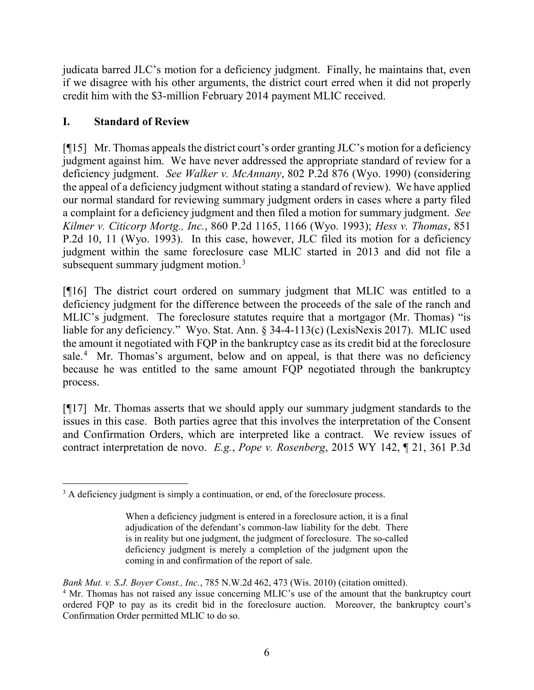judicata barred JLC's motion for a deficiency judgment. Finally, he maintains that, even if we disagree with his other arguments, the district court erred when it did not properly credit him with the \$3-million February 2014 payment MLIC received.

# **I. Standard of Review**

[¶15] Mr. Thomas appeals the district court's order granting JLC's motion for a deficiency judgment against him. We have never addressed the appropriate standard of review for a deficiency judgment. *See Walker v. McAnnany*, 802 P.2d 876 (Wyo. 1990) (considering the appeal of a deficiency judgment without stating a standard of review). We have applied our normal standard for reviewing summary judgment orders in cases where a party filed a complaint for a deficiency judgment and then filed a motion for summary judgment. *See Kilmer v. Citicorp Mortg., Inc.*, 860 P.2d 1165, 1166 (Wyo. 1993); *Hess v. Thomas*, 851 P.2d 10, 11 (Wyo. 1993). In this case, however, JLC filed its motion for a deficiency judgment within the same foreclosure case MLIC started in 2013 and did not file a subsequent summary judgment motion.<sup>[3](#page-6-0)</sup>

[¶16] The district court ordered on summary judgment that MLIC was entitled to a deficiency judgment for the difference between the proceeds of the sale of the ranch and MLIC's judgment. The foreclosure statutes require that a mortgagor (Mr. Thomas) "is liable for any deficiency." Wyo. Stat. Ann. § 34-4-113(c) (LexisNexis 2017). MLIC used the amount it negotiated with FQP in the bankruptcy case as its credit bid at the foreclosure sale.<sup>[4](#page-6-1)</sup> Mr. Thomas's argument, below and on appeal, is that there was no deficiency because he was entitled to the same amount FQP negotiated through the bankruptcy process.

[¶17] Mr. Thomas asserts that we should apply our summary judgment standards to the issues in this case. Both parties agree that this involves the interpretation of the Consent and Confirmation Orders, which are interpreted like a contract. We review issues of contract interpretation de novo. *E.g.*, *Pope v. Rosenberg*, 2015 WY 142, ¶ 21, 361 P.3d

*Bank Mut. v. S.J. Boyer Const., Inc.*, 785 N.W.2d 462, 473 (Wis. 2010) (citation omitted).

<span id="page-6-0"></span><sup>3</sup> A deficiency judgment is simply a continuation, or end, of the foreclosure process.

When a deficiency judgment is entered in a foreclosure action, it is a final adjudication of the defendant's common-law liability for the debt. There is in reality but one judgment, the judgment of foreclosure. The so-called deficiency judgment is merely a completion of the judgment upon the coming in and confirmation of the report of sale.

<span id="page-6-1"></span><sup>&</sup>lt;sup>4</sup> Mr. Thomas has not raised any issue concerning MLIC's use of the amount that the bankruptcy court ordered FQP to pay as its credit bid in the foreclosure auction. Moreover, the bankruptcy court's Confirmation Order permitted MLIC to do so.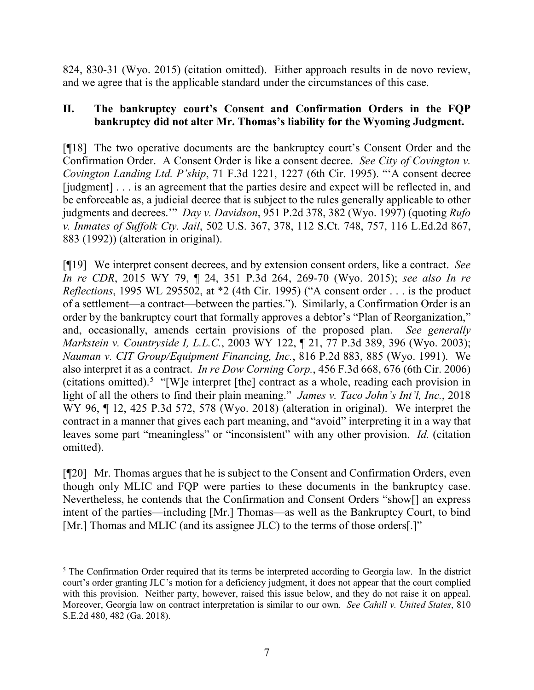824, 830-31 (Wyo. 2015) (citation omitted). Either approach results in de novo review, and we agree that is the applicable standard under the circumstances of this case.

### **II. The bankruptcy court's Consent and Confirmation Orders in the FQP bankruptcy did not alter Mr. Thomas's liability for the Wyoming Judgment.**

[¶18] The two operative documents are the bankruptcy court's Consent Order and the Confirmation Order. A Consent Order is like a consent decree. *See City of Covington v. Covington Landing Ltd. P'ship*, 71 F.3d 1221, 1227 (6th Cir. 1995). "'A consent decree [judgment] . . . is an agreement that the parties desire and expect will be reflected in, and be enforceable as, a judicial decree that is subject to the rules generally applicable to other judgments and decrees.'" *Day v. Davidson*, 951 P.2d 378, 382 (Wyo. 1997) (quoting *Rufo v. Inmates of Suffolk Cty. Jail*, 502 U.S. 367, 378, 112 S.Ct. 748, 757, 116 L.Ed.2d 867, 883 (1992)) (alteration in original).

[¶19] We interpret consent decrees, and by extension consent orders, like a contract. *See In re CDR*, 2015 WY 79, ¶ 24, 351 P.3d 264, 269-70 (Wyo. 2015); *see also In re Reflections*, 1995 WL 295502, at \*2 (4th Cir. 1995) ("A consent order . . . is the product of a settlement—a contract—between the parties."). Similarly, a Confirmation Order is an order by the bankruptcy court that formally approves a debtor's "Plan of Reorganization," and, occasionally, amends certain provisions of the proposed plan. *See generally Markstein v. Countryside I, L.L.C.*, 2003 WY 122, ¶ 21, 77 P.3d 389, 396 (Wyo. 2003); *Nauman v. CIT Group/Equipment Financing, Inc.*, 816 P.2d 883, 885 (Wyo. 1991). We also interpret it as a contract. *In re Dow Corning Corp.*, 456 F.3d 668, 676 (6th Cir. 2006) (citations omitted).<sup>[5](#page-7-0)</sup> "[W]e interpret [the] contract as a whole, reading each provision in light of all the others to find their plain meaning." *James v. Taco John's Int'l, Inc.*, 2018 WY 96, ¶ 12, 425 P.3d 572, 578 (Wyo. 2018) (alteration in original). We interpret the contract in a manner that gives each part meaning, and "avoid" interpreting it in a way that leaves some part "meaningless" or "inconsistent" with any other provision. *Id.* (citation omitted).

[¶20] Mr. Thomas argues that he is subject to the Consent and Confirmation Orders, even though only MLIC and FQP were parties to these documents in the bankruptcy case. Nevertheless, he contends that the Confirmation and Consent Orders "show[] an express intent of the parties—including [Mr.] Thomas—as well as the Bankruptcy Court, to bind [Mr.] Thomas and MLIC (and its assignee JLC) to the terms of those orders[.]"

<span id="page-7-0"></span><sup>5</sup> The Confirmation Order required that its terms be interpreted according to Georgia law. In the district court's order granting JLC's motion for a deficiency judgment, it does not appear that the court complied with this provision. Neither party, however, raised this issue below, and they do not raise it on appeal. Moreover, Georgia law on contract interpretation is similar to our own. *See Cahill v. United States*, 810 S.E.2d 480, 482 (Ga. 2018).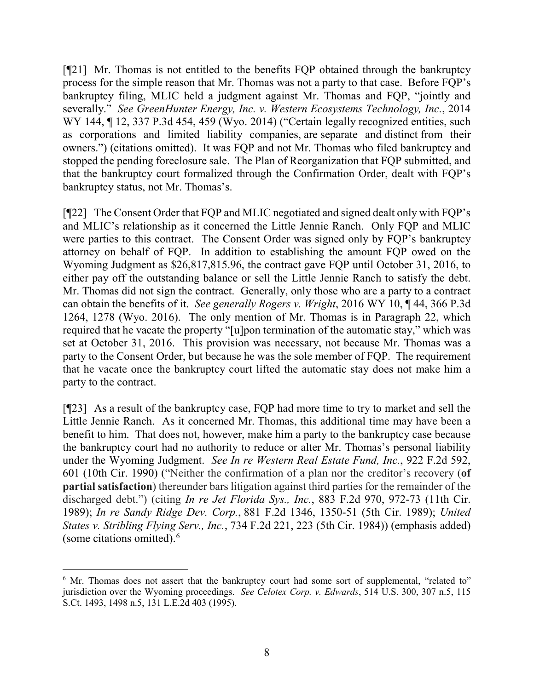[¶21] Mr. Thomas is not entitled to the benefits FQP obtained through the bankruptcy process for the simple reason that Mr. Thomas was not a party to that case. Before FQP's bankruptcy filing, MLIC held a judgment against Mr. Thomas and FQP, "jointly and severally." *See GreenHunter Energy, Inc. v. Western Ecosystems Technology, Inc.*, 2014 WY 144, 12, 337 P.3d 454, 459 (Wyo. 2014) ("Certain legally recognized entities, such as corporations and limited liability companies, are separate and distinct from their owners.") (citations omitted). It was FQP and not Mr. Thomas who filed bankruptcy and stopped the pending foreclosure sale. The Plan of Reorganization that FQP submitted, and that the bankruptcy court formalized through the Confirmation Order, dealt with FQP's bankruptcy status, not Mr. Thomas's.

[¶22] The Consent Order that FQP and MLIC negotiated and signed dealt only with FQP's and MLIC's relationship as it concerned the Little Jennie Ranch. Only FQP and MLIC were parties to this contract. The Consent Order was signed only by FQP's bankruptcy attorney on behalf of FQP. In addition to establishing the amount FQP owed on the Wyoming Judgment as \$26,817,815.96, the contract gave FQP until October 31, 2016, to either pay off the outstanding balance or sell the Little Jennie Ranch to satisfy the debt. Mr. Thomas did not sign the contract. Generally, only those who are a party to a contract can obtain the benefits of it. *See generally Rogers v. Wright*, 2016 WY 10, ¶ 44, 366 P.3d 1264, 1278 (Wyo. 2016). The only mention of Mr. Thomas is in Paragraph 22, which required that he vacate the property "[u]pon termination of the automatic stay," which was set at October 31, 2016. This provision was necessary, not because Mr. Thomas was a party to the Consent Order, but because he was the sole member of FQP. The requirement that he vacate once the bankruptcy court lifted the automatic stay does not make him a party to the contract.

[¶23] As a result of the bankruptcy case, FQP had more time to try to market and sell the Little Jennie Ranch. As it concerned Mr. Thomas, this additional time may have been a benefit to him. That does not, however, make him a party to the bankruptcy case because the bankruptcy court had no authority to reduce or alter Mr. Thomas's personal liability under the Wyoming Judgment. *See In re Western Real Estate Fund, Inc.*, 922 F.2d 592, 601 (10th Cir. 1990) ("Neither the confirmation of a plan nor the creditor's recovery (**of partial satisfaction**) thereunder bars litigation against third parties for the remainder of the discharged debt.") (citing *In re Jet Florida Sys., Inc.*, 883 F.2d 970, 972-73 (11th Cir. 1989); *In re Sandy Ridge Dev. Corp.*, 881 F.2d 1346, 1350-51 (5th Cir. 1989); *United States v. Stribling Flying Serv., Inc.*, 734 F.2d 221, 223 (5th Cir. 1984)) (emphasis added) (some citations omitted). [6](#page-8-0)

<span id="page-8-0"></span><sup>6</sup> Mr. Thomas does not assert that the bankruptcy court had some sort of supplemental, "related to" jurisdiction over the Wyoming proceedings. *See Celotex Corp. v. Edwards*, 514 U.S. 300, 307 n.5, 115 S.Ct. 1493, 1498 n.5, 131 L.E.2d 403 (1995).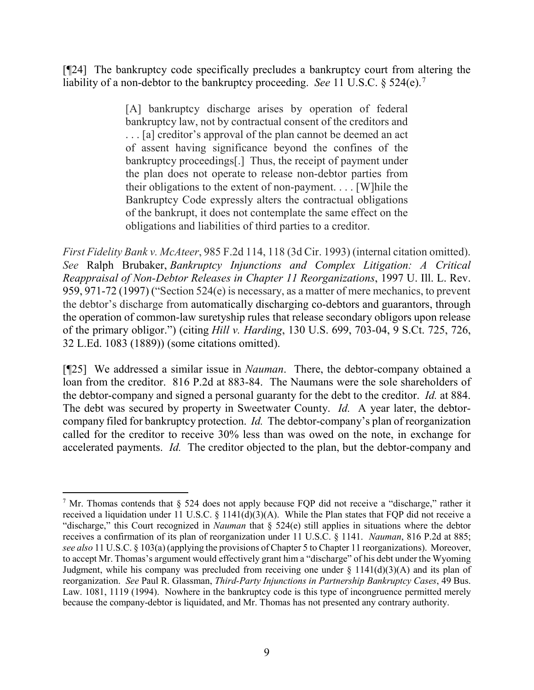[¶24] The bankruptcy code specifically precludes a bankruptcy court from altering the liability of a non-debtor to the bankruptcy proceeding. *See* 11 U.S.C. § 524(e).[7](#page-9-0)

> [A] bankruptcy discharge arises by operation of federal bankruptcy law, not by contractual consent of the creditors and . . . [a] creditor's approval of the plan cannot be deemed an act of assent having significance beyond the confines of the bankruptcy proceedings[.] Thus, the receipt of payment under the plan does not operate to release non-debtor parties from their obligations to the extent of non-payment. . . . [W]hile the Bankruptcy Code expressly alters the contractual obligations of the bankrupt, it does not contemplate the same effect on the obligations and liabilities of third parties to a creditor.

*First Fidelity Bank v. McAteer*, 985 F.2d 114, 118 (3d Cir. 1993) (internal citation omitted). *See* Ralph Brubaker, *Bankruptcy Injunctions and Complex Litigation: A Critical Reappraisal of Non-Debtor Releases in Chapter 11 Reorganizations*, 1997 U. Ill. L. Rev. 959, 971-72 (1997) ("Section 524(e) is necessary, as a matter of mere mechanics, to prevent the debtor's discharge from automatically discharging co-debtors and guarantors, through the operation of common-law suretyship rules that release secondary obligors upon release of the primary obligor.") (citing *Hill v. Harding*[, 130 U.S. 699, 703-04, 9 S.Ct. 725, 726,](https://1.next.westlaw.com/Link/Document/FullText?findType=Y&serNum=1889180142&pubNum=780&originatingDoc=I662012b136da11db8382aef8d8e33c97&refType=RP&fi=co_pp_sp_780_703&originationContext=document&transitionType=DocumentItem&contextData=(sc.UserEnteredCitation)#co_pp_sp_780_703)  [32 L.Ed. 1083](https://1.next.westlaw.com/Link/Document/FullText?findType=Y&serNum=1889180142&pubNum=780&originatingDoc=I662012b136da11db8382aef8d8e33c97&refType=RP&fi=co_pp_sp_780_703&originationContext=document&transitionType=DocumentItem&contextData=(sc.UserEnteredCitation)#co_pp_sp_780_703) (1889)) (some citations omitted).

[¶25] We addressed a similar issue in *Nauman*. There, the debtor-company obtained a loan from the creditor. 816 P.2d at 883-84. The Naumans were the sole shareholders of the debtor-company and signed a personal guaranty for the debt to the creditor. *Id.* at 884. The debt was secured by property in Sweetwater County. *Id.* A year later, the debtorcompany filed for bankruptcy protection. *Id.* The debtor-company's plan of reorganization called for the creditor to receive 30% less than was owed on the note, in exchange for accelerated payments. *Id.* The creditor objected to the plan, but the debtor-company and

<span id="page-9-0"></span><sup>7</sup> Mr. Thomas contends that  $\S$  524 does not apply because FQP did not receive a "discharge," rather it received a liquidation under 11 U.S.C.  $\S$  1141(d)(3)(A). While the Plan states that FOP did not receive a "discharge," this Court recognized in *Nauman* that § 524(e) still applies in situations where the debtor receives a confirmation of its plan of reorganization under 11 U.S.C. § 1141. *Nauman*, 816 P.2d at 885; *see also* 11 U.S.C. § 103(a) (applying the provisions of Chapter 5 to Chapter 11 reorganizations). Moreover, to accept Mr. Thomas's argument would effectively grant him a "discharge" of his debt under the Wyoming Judgment, while his company was precluded from receiving one under  $\S 1141(d)(3)(A)$  and its plan of reorganization. *See* Paul R. Glassman, *Third-Party Injunctions in Partnership Bankruptcy Cases*, 49 Bus. Law. 1081, 1119 (1994). Nowhere in the bankruptcy code is this type of incongruence permitted merely because the company-debtor is liquidated, and Mr. Thomas has not presented any contrary authority.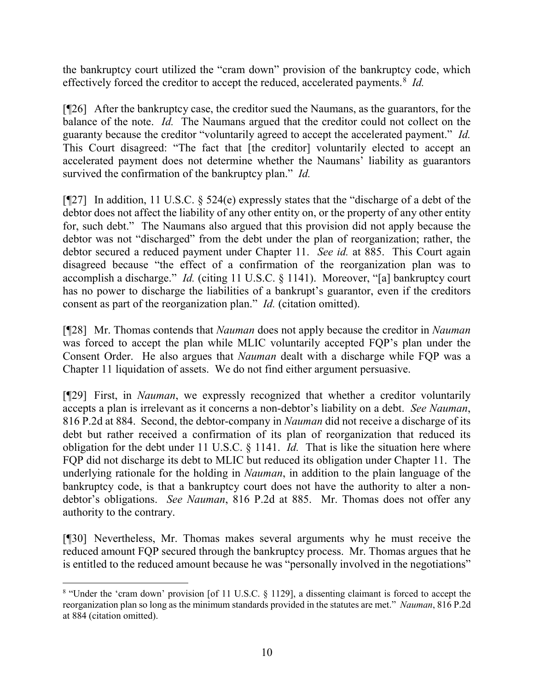the bankruptcy court utilized the "cram down" provision of the bankruptcy code, which effectively forced the creditor to accept the reduced, accelerated payments.<sup>[8](#page-10-0)</sup> *Id.* 

[¶26] After the bankruptcy case, the creditor sued the Naumans, as the guarantors, for the balance of the note. *Id.* The Naumans argued that the creditor could not collect on the guaranty because the creditor "voluntarily agreed to accept the accelerated payment." *Id.* This Court disagreed: "The fact that [the creditor] voluntarily elected to accept an accelerated payment does not determine whether the Naumans' liability as guarantors survived the confirmation of the bankruptcy plan." *Id.*

[ $[$ [27] In addition, 11 U.S.C.  $\frac{524}{e}$  expressly states that the "discharge of a debt of the debtor does not affect the liability of any other entity on, or the property of any other entity for, such debt." The Naumans also argued that this provision did not apply because the debtor was not "discharged" from the debt under the plan of reorganization; rather, the debtor secured a reduced payment under Chapter 11. *See id.* at 885. This Court again disagreed because "the effect of a confirmation of the reorganization plan was to accomplish a discharge." *Id.* (citing 11 U.S.C. § 1141). Moreover, "[a] bankruptcy court has no power to discharge the liabilities of a bankrupt's guarantor, even if the creditors consent as part of the reorganization plan." *Id.* (citation omitted).

[¶28] Mr. Thomas contends that *Nauman* does not apply because the creditor in *Nauman* was forced to accept the plan while MLIC voluntarily accepted FQP's plan under the Consent Order. He also argues that *Nauman* dealt with a discharge while FQP was a Chapter 11 liquidation of assets. We do not find either argument persuasive.

[¶29] First, in *Nauman*, we expressly recognized that whether a creditor voluntarily accepts a plan is irrelevant as it concerns a non-debtor's liability on a debt. *See Nauman*, 816 P.2d at 884. Second, the debtor-company in *Nauman* did not receive a discharge of its debt but rather received a confirmation of its plan of reorganization that reduced its obligation for the debt under 11 U.S.C. § 1141. *Id.* That is like the situation here where FQP did not discharge its debt to MLIC but reduced its obligation under Chapter 11. The underlying rationale for the holding in *Nauman*, in addition to the plain language of the bankruptcy code, is that a bankruptcy court does not have the authority to alter a nondebtor's obligations. *See Nauman*, 816 P.2d at 885. Mr. Thomas does not offer any authority to the contrary.

[¶30] Nevertheless, Mr. Thomas makes several arguments why he must receive the reduced amount FQP secured through the bankruptcy process. Mr. Thomas argues that he is entitled to the reduced amount because he was "personally involved in the negotiations"

<span id="page-10-0"></span><sup>8</sup> "Under the 'cram down' provision [of 11 U.S.C. § 1129], a dissenting claimant is forced to accept the reorganization plan so long as the minimum standards provided in the statutes are met." *Nauman*, 816 P.2d at 884 (citation omitted).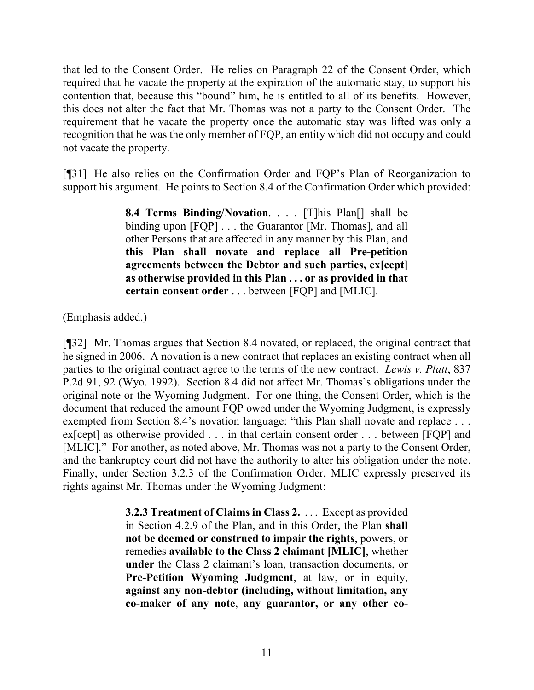that led to the Consent Order. He relies on Paragraph 22 of the Consent Order, which required that he vacate the property at the expiration of the automatic stay, to support his contention that, because this "bound" him, he is entitled to all of its benefits. However, this does not alter the fact that Mr. Thomas was not a party to the Consent Order. The requirement that he vacate the property once the automatic stay was lifted was only a recognition that he was the only member of FQP, an entity which did not occupy and could not vacate the property.

[¶31] He also relies on the Confirmation Order and FQP's Plan of Reorganization to support his argument. He points to Section 8.4 of the Confirmation Order which provided:

> **8.4 Terms Binding/Novation**. . . . [T]his Plan[] shall be binding upon [FQP] . . . the Guarantor [Mr. Thomas], and all other Persons that are affected in any manner by this Plan, and **this Plan shall novate and replace all Pre-petition agreements between the Debtor and such parties, ex[cept] as otherwise provided in this Plan . . . or as provided in that certain consent order** . . . between [FQP] and [MLIC].

(Emphasis added.)

[¶32] Mr. Thomas argues that Section 8.4 novated, or replaced, the original contract that he signed in 2006. A novation is a new contract that replaces an existing contract when all parties to the original contract agree to the terms of the new contract. *Lewis v. Platt*, 837 P.2d 91, 92 (Wyo. 1992). Section 8.4 did not affect Mr. Thomas's obligations under the original note or the Wyoming Judgment. For one thing, the Consent Order, which is the document that reduced the amount FQP owed under the Wyoming Judgment, is expressly exempted from Section 8.4's novation language: "this Plan shall novate and replace ... ex[cept] as otherwise provided . . . in that certain consent order . . . between [FQP] and [MLIC]." For another, as noted above, Mr. Thomas was not a party to the Consent Order, and the bankruptcy court did not have the authority to alter his obligation under the note. Finally, under Section 3.2.3 of the Confirmation Order, MLIC expressly preserved its rights against Mr. Thomas under the Wyoming Judgment:

> **3.2.3 Treatment of Claims in Class 2.** . . . Except as provided in Section 4.2.9 of the Plan, and in this Order, the Plan **shall not be deemed or construed to impair the rights**, powers, or remedies **available to the Class 2 claimant [MLIC]**, whether **under** the Class 2 claimant's loan, transaction documents, or **Pre-Petition Wyoming Judgment**, at law, or in equity, **against any non-debtor (including, without limitation, any co-maker of any note**, **any guarantor, or any other co-**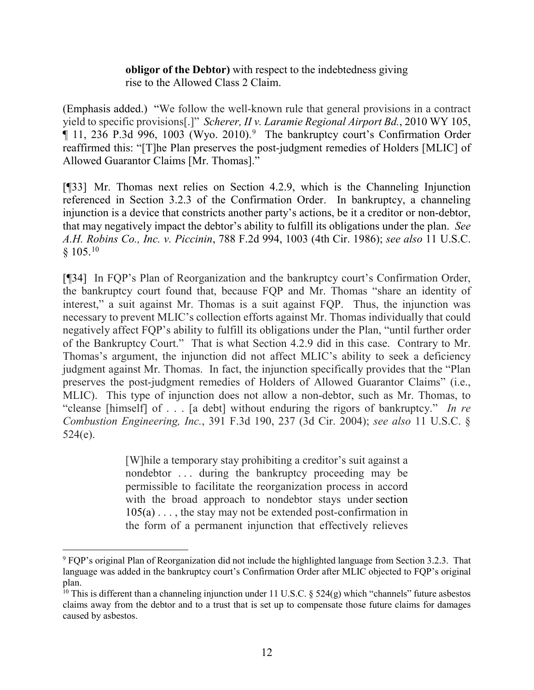### **obligor of the Debtor)** with respect to the indebtedness giving rise to the Allowed Class 2 Claim.

(Emphasis added.) "We follow the well-known rule that general provisions in a contract yield to specific provisions[.]" *Scherer, II v. Laramie Regional Airport Bd.*, 2010 WY 105, ¶ 11, 236 P.3d 996, 1003 (Wyo. 2010). [9](#page-12-0) The bankruptcy court's Confirmation Order reaffirmed this: "[T]he Plan preserves the post-judgment remedies of Holders [MLIC] of Allowed Guarantor Claims [Mr. Thomas]."

[¶33] Mr. Thomas next relies on Section 4.2.9, which is the Channeling Injunction referenced in Section 3.2.3 of the Confirmation Order. In bankruptcy, a channeling injunction is a device that constricts another party's actions, be it a creditor or non-debtor, that may negatively impact the debtor's ability to fulfill its obligations under the plan. *See A.H. Robins Co., Inc. v. Piccinin*, 788 F.2d 994, 1003 (4th Cir. 1986); *see also* 11 U.S.C. § 105.[10](#page-12-1)

[¶34] In FQP's Plan of Reorganization and the bankruptcy court's Confirmation Order, the bankruptcy court found that, because FQP and Mr. Thomas "share an identity of interest," a suit against Mr. Thomas is a suit against FQP. Thus, the injunction was necessary to prevent MLIC's collection efforts against Mr. Thomas individually that could negatively affect FQP's ability to fulfill its obligations under the Plan, "until further order of the Bankruptcy Court." That is what Section 4.2.9 did in this case. Contrary to Mr. Thomas's argument, the injunction did not affect MLIC's ability to seek a deficiency judgment against Mr. Thomas. In fact, the injunction specifically provides that the "Plan preserves the post-judgment remedies of Holders of Allowed Guarantor Claims" (i.e., MLIC). This type of injunction does not allow a non-debtor, such as Mr. Thomas, to "cleanse [himself] of . . . [a debt] without enduring the rigors of bankruptcy." *In re Combustion Engineering, Inc.*, 391 F.3d 190, 237 (3d Cir. 2004); *see also* 11 U.S.C. § 524(e).

> [W]hile a temporary stay prohibiting a creditor's suit against a nondebtor . . . during the bankruptcy proceeding may be permissible to facilitate the reorganization process in accord with the broad approach to nondebtor stays under section  $105(a) \ldots$ , the stay may not be extended post-confirmation in the form of a permanent injunction that effectively relieves

<span id="page-12-0"></span><sup>9</sup> FQP's original Plan of Reorganization did not include the highlighted language from Section 3.2.3. That language was added in the bankruptcy court's Confirmation Order after MLIC objected to FQP's original plan.

<span id="page-12-1"></span><sup>&</sup>lt;sup>10</sup> This is different than a channeling injunction under 11 U.S.C. § 524(g) which "channels" future asbestos claims away from the debtor and to a trust that is set up to compensate those future claims for damages caused by asbestos.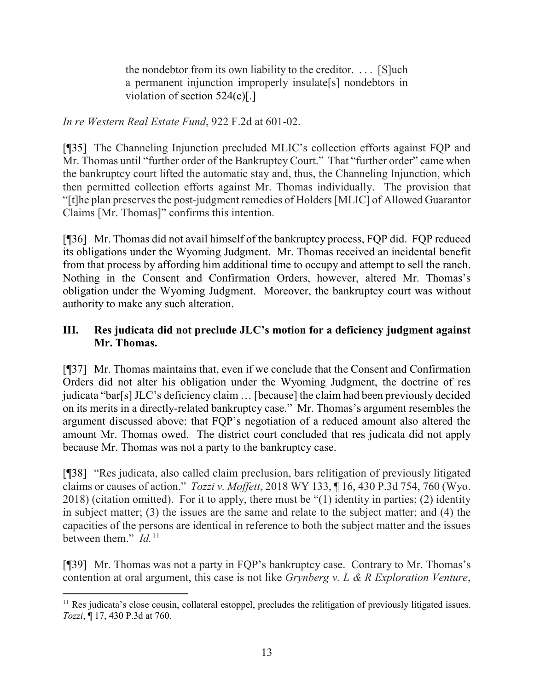the nondebtor from its own liability to the creditor. . . . [S]uch a permanent injunction improperly insulate[s] nondebtors in violation of section 524(e)[.]

*In re Western Real Estate Fund*, 922 F.2d at 601-02.

[¶35] The Channeling Injunction precluded MLIC's collection efforts against FQP and Mr. Thomas until "further order of the Bankruptcy Court." That "further order" came when the bankruptcy court lifted the automatic stay and, thus, the Channeling Injunction, which then permitted collection efforts against Mr. Thomas individually. The provision that "[t]he plan preserves the post-judgment remedies of Holders [MLIC] of Allowed Guarantor Claims [Mr. Thomas]" confirms this intention.

[¶36] Mr. Thomas did not avail himself of the bankruptcy process, FQP did. FQP reduced its obligations under the Wyoming Judgment. Mr. Thomas received an incidental benefit from that process by affording him additional time to occupy and attempt to sell the ranch. Nothing in the Consent and Confirmation Orders, however, altered Mr. Thomas's obligation under the Wyoming Judgment. Moreover, the bankruptcy court was without authority to make any such alteration.

## **III. Res judicata did not preclude JLC's motion for a deficiency judgment against Mr. Thomas.**

[¶37] Mr. Thomas maintains that, even if we conclude that the Consent and Confirmation Orders did not alter his obligation under the Wyoming Judgment, the doctrine of res judicata "bar[s] JLC's deficiency claim … [because] the claim had been previously decided on its merits in a directly-related bankruptcy case." Mr. Thomas's argument resembles the argument discussed above: that FQP's negotiation of a reduced amount also altered the amount Mr. Thomas owed. The district court concluded that res judicata did not apply because Mr. Thomas was not a party to the bankruptcy case.

[¶38] "Res judicata, also called claim preclusion, bars relitigation of previously litigated claims or causes of action." *Tozzi v. Moffett*, 2018 WY 133, ¶ 16, 430 P.3d 754, 760 (Wyo. 2018) (citation omitted). For it to apply, there must be "(1) identity in parties; (2) identity in subject matter; (3) the issues are the same and relate to the subject matter; and (4) the capacities of the persons are identical in reference to both the subject matter and the issues between them." *Id.*[11](#page-13-0)

[¶39] Mr. Thomas was not a party in FQP's bankruptcy case. Contrary to Mr. Thomas's contention at oral argument, this case is not like *Grynberg v. L & R Exploration Venture*,

<span id="page-13-0"></span> $11$  Res judicata's close cousin, collateral estoppel, precludes the relitigation of previously litigated issues. *Tozzi*, ¶ 17, 430 P.3d at 760.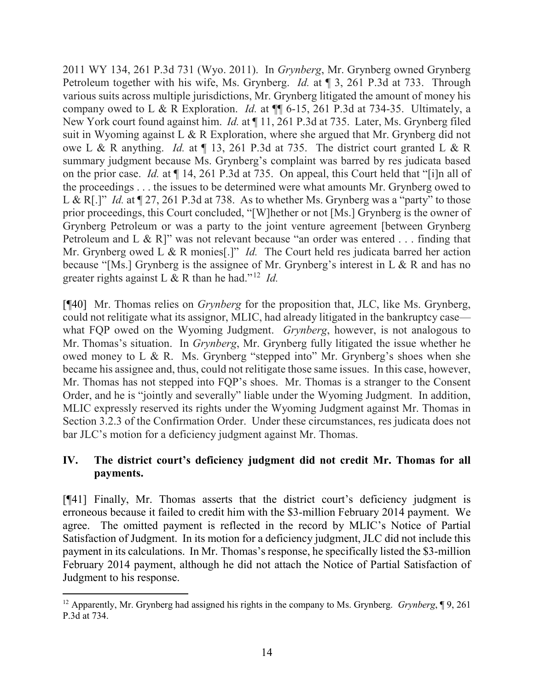2011 WY 134, 261 P.3d 731 (Wyo. 2011). In *Grynberg*, Mr. Grynberg owned Grynberg Petroleum together with his wife, Ms. Grynberg. *Id.* at ¶ 3, 261 P.3d at 733. Through various suits across multiple jurisdictions, Mr. Grynberg litigated the amount of money his company owed to L & R Exploration. *Id.* at ¶¶ 6-15, 261 P.3d at 734-35. Ultimately, a New York court found against him. *Id.* at ¶ 11, 261 P.3d at 735. Later, Ms. Grynberg filed suit in Wyoming against L & R Exploration, where she argued that Mr. Grynberg did not owe L & R anything. *Id.* at ¶ 13, 261 P.3d at 735. The district court granted L & R summary judgment because Ms. Grynberg's complaint was barred by res judicata based on the prior case. *Id.* at ¶ 14, 261 P.3d at 735. On appeal, this Court held that "[i]n all of the proceedings . . . the issues to be determined were what amounts Mr. Grynberg owed to L & R[.]" *Id.* at ¶ 27, 261 P.3d at 738. As to whether Ms. Grynberg was a "party" to those prior proceedings, this Court concluded, "[W]hether or not [Ms.] Grynberg is the owner of Grynberg Petroleum or was a party to the joint venture agreement [between Grynberg Petroleum and L & R]" was not relevant because "an order was entered . . . finding that Mr. Grynberg owed L & R monies<sup>[1]"</sup> *Id.* The Court held res judicata barred her action because "[Ms.] Grynberg is the assignee of Mr. Grynberg's interest in L & R and has no greater rights against L & R than he had."[12](#page-14-0) *Id.*

[¶40] Mr. Thomas relies on *Grynberg* for the proposition that, JLC, like Ms. Grynberg, could not relitigate what its assignor, MLIC, had already litigated in the bankruptcy case what FQP owed on the Wyoming Judgment. *Grynberg*, however, is not analogous to Mr. Thomas's situation. In *Grynberg*, Mr. Grynberg fully litigated the issue whether he owed money to L & R. Ms. Grynberg "stepped into" Mr. Grynberg's shoes when she became his assignee and, thus, could not relitigate those same issues. In this case, however, Mr. Thomas has not stepped into FQP's shoes. Mr. Thomas is a stranger to the Consent Order, and he is "jointly and severally" liable under the Wyoming Judgment. In addition, MLIC expressly reserved its rights under the Wyoming Judgment against Mr. Thomas in Section 3.2.3 of the Confirmation Order. Under these circumstances, res judicata does not bar JLC's motion for a deficiency judgment against Mr. Thomas.

## **IV. The district court's deficiency judgment did not credit Mr. Thomas for all payments.**

[¶41] Finally, Mr. Thomas asserts that the district court's deficiency judgment is erroneous because it failed to credit him with the \$3-million February 2014 payment. We agree. The omitted payment is reflected in the record by MLIC's Notice of Partial Satisfaction of Judgment. In its motion for a deficiency judgment, JLC did not include this payment in its calculations. In Mr. Thomas's response, he specifically listed the \$3-million February 2014 payment, although he did not attach the Notice of Partial Satisfaction of Judgment to his response.

<span id="page-14-0"></span><sup>12</sup> Apparently, Mr. Grynberg had assigned his rights in the company to Ms. Grynberg. *Grynberg*, ¶ 9, 261 P.3d at 734.